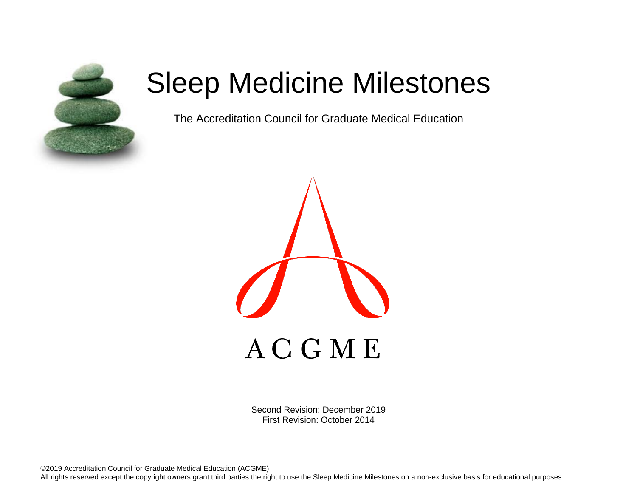

# Sleep Medicine Milestones

The Accreditation Council for Graduate Medical Education



Second Revision: December 2019 First Revision: October 2014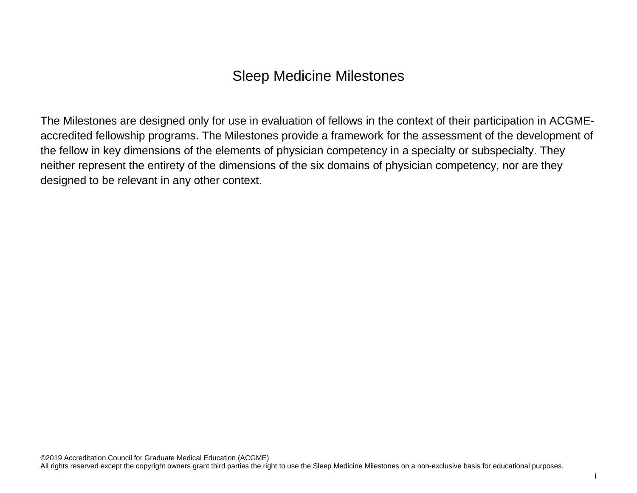## Sleep Medicine Milestones

The Milestones are designed only for use in evaluation of fellows in the context of their participation in ACGMEaccredited fellowship programs. The Milestones provide a framework for the assessment of the development of the fellow in key dimensions of the elements of physician competency in a specialty or subspecialty. They neither represent the entirety of the dimensions of the six domains of physician competency, nor are they designed to be relevant in any other context.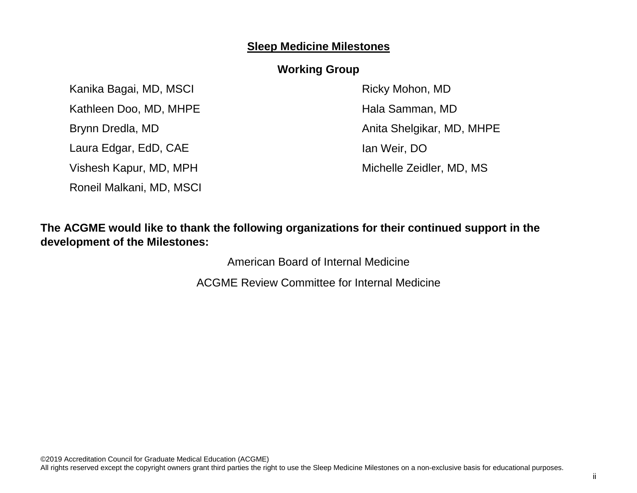## **Sleep Medicine Milestones**

## **Working Group**

Kanika Bagai, MD, MSCI Kathleen Doo, MD, MHPE Brynn Dredla, MD Laura Edgar, EdD, CAE Vishesh Kapur, MD, MPH Roneil Malkani, MD, MSCI Ricky Mohon, MD Hala Samman, MD Anita Shelgikar, MD, MHPE Ian Weir, DO Michelle Zeidler, MD, MS

## **The ACGME would like to thank the following organizations for their continued support in the development of the Milestones:**

American Board of Internal Medicine

ACGME Review Committee for Internal Medicine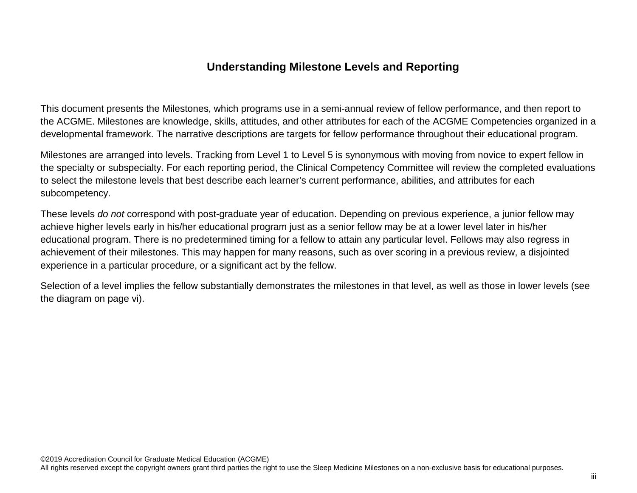## **Understanding Milestone Levels and Reporting**

This document presents the Milestones, which programs use in a semi-annual review of fellow performance, and then report to the ACGME. Milestones are knowledge, skills, attitudes, and other attributes for each of the ACGME Competencies organized in a developmental framework. The narrative descriptions are targets for fellow performance throughout their educational program.

Milestones are arranged into levels. Tracking from Level 1 to Level 5 is synonymous with moving from novice to expert fellow in the specialty or subspecialty. For each reporting period, the Clinical Competency Committee will review the completed evaluations to select the milestone levels that best describe each learner's current performance, abilities, and attributes for each subcompetency.

These levels *do not* correspond with post-graduate year of education. Depending on previous experience, a junior fellow may achieve higher levels early in his/her educational program just as a senior fellow may be at a lower level later in his/her educational program. There is no predetermined timing for a fellow to attain any particular level. Fellows may also regress in achievement of their milestones. This may happen for many reasons, such as over scoring in a previous review, a disjointed experience in a particular procedure, or a significant act by the fellow.

Selection of a level implies the fellow substantially demonstrates the milestones in that level, as well as those in lower levels (see the diagram on page vi).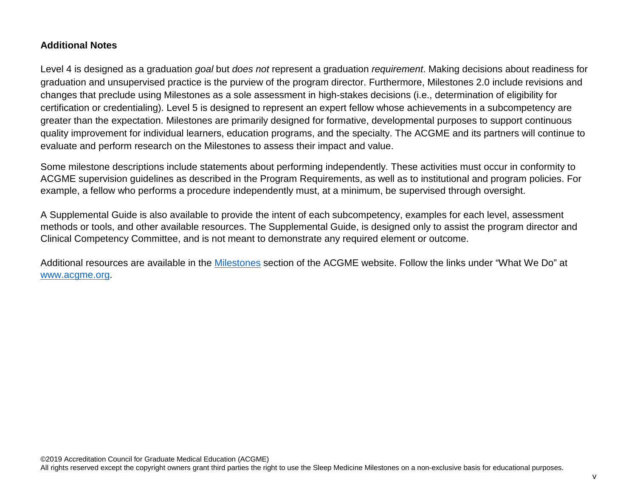#### **Additional Notes**

Level 4 is designed as a graduation *goal* but *does not* represent a graduation *requirement*. Making decisions about readiness for graduation and unsupervised practice is the purview of the program director. Furthermore, Milestones 2.0 include revisions and changes that preclude using Milestones as a sole assessment in high-stakes decisions (i.e., determination of eligibility for certification or credentialing). Level 5 is designed to represent an expert fellow whose achievements in a subcompetency are greater than the expectation. Milestones are primarily designed for formative, developmental purposes to support continuous quality improvement for individual learners, education programs, and the specialty. The ACGME and its partners will continue to evaluate and perform research on the Milestones to assess their impact and value.

Some milestone descriptions include statements about performing independently. These activities must occur in conformity to ACGME supervision guidelines as described in the Program Requirements, as well as to institutional and program policies. For example, a fellow who performs a procedure independently must, at a minimum, be supervised through oversight.

A Supplemental Guide is also available to provide the intent of each subcompetency, examples for each level, assessment methods or tools, and other available resources. The Supplemental Guide, is designed only to assist the program director and Clinical Competency Committee, and is not meant to demonstrate any required element or outcome.

Additional resources are available in the [Milestones](http://www.acgme.org/What-We-Do/Accreditation/Milestones/Overview) section of the ACGME website. Follow the links under "What We Do" at [www.acgme.org.](http://www.acgme.org/)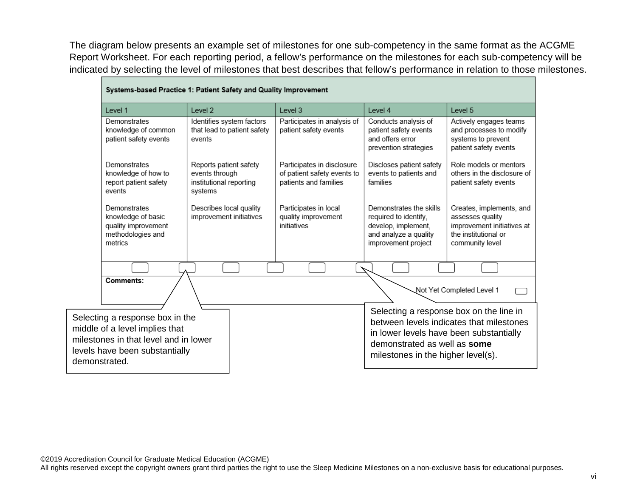The diagram below presents an example set of milestones for one sub-competency in the same format as the ACGME Report Worksheet. For each reporting period, a fellow's performance on the milestones for each sub-competency will be indicated by selecting the level of milestones that best describes that fellow's performance in relation to those milestones.

| Systems-based Practice 1: Patient Safety and Quality Improvement                                                                                              |                                                                                |                                                                                    |                                                                                                                         |                                                                                                                       |
|---------------------------------------------------------------------------------------------------------------------------------------------------------------|--------------------------------------------------------------------------------|------------------------------------------------------------------------------------|-------------------------------------------------------------------------------------------------------------------------|-----------------------------------------------------------------------------------------------------------------------|
| Level 1                                                                                                                                                       | Level 2                                                                        | Level 3                                                                            | Level 4                                                                                                                 | Level 5                                                                                                               |
| Demonstrates<br>knowledge of common<br>patient safety events                                                                                                  | Identifies system factors<br>that lead to patient safety<br>events             | Participates in analysis of<br>patient safety events                               | Conducts analysis of<br>patient safety events<br>and offers error<br>prevention strategies                              | Actively engages teams<br>and processes to modify<br>systems to prevent<br>patient safety events                      |
| Demonstrates<br>knowledge of how to<br>report patient safety<br>events                                                                                        | Reports patient safety<br>events through<br>institutional reporting<br>systems | Participates in disclosure<br>of patient safety events to<br>patients and families | Discloses patient safety<br>events to patients and<br>families                                                          | Role models or mentors<br>others in the disclosure of<br>patient safety events                                        |
| Demonstrates<br>knowledge of basic<br>quality improvement<br>methodologies and<br>metrics                                                                     | Describes local quality<br>improvement initiatives                             | Participates in local<br>quality improvement<br>initiatives                        | Demonstrates the skills<br>required to identify,<br>develop, implement,<br>and analyze a quality<br>improvement project | Creates, implements, and<br>assesses quality<br>improvement initiatives at<br>the institutional or<br>community level |
|                                                                                                                                                               |                                                                                |                                                                                    |                                                                                                                         |                                                                                                                       |
| Comments:                                                                                                                                                     |                                                                                |                                                                                    |                                                                                                                         | Not Yet Completed Level 1                                                                                             |
| Selecting a response box in the<br>middle of a level implies that<br>milestones in that level and in lower<br>levels have been substantially<br>demonstrated. |                                                                                |                                                                                    | in lower levels have been substantially<br>demonstrated as well as some<br>milestones in the higher level(s).           | Selecting a response box on the line in<br>between levels indicates that milestones                                   |

| Systems-based Practice 1: Patient Safety and Quality Improvement |  |  |  |
|------------------------------------------------------------------|--|--|--|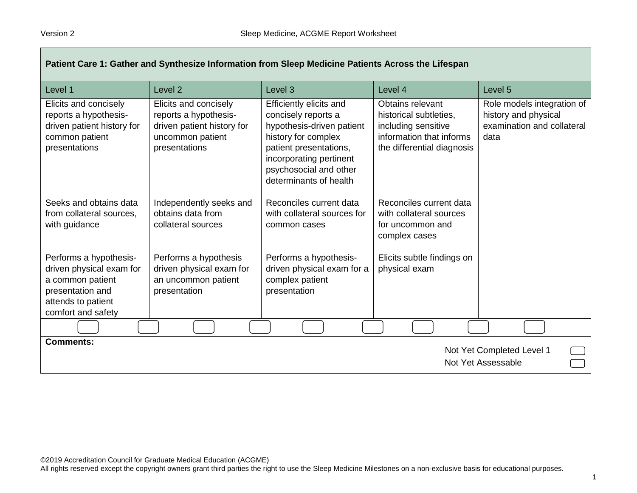| Patient Care 1: Gather and Synthesize Information from Sleep Medicine Patients Across the Lifespan                                     |                                                                                                                   |                                                                                                                                                                                                             |                                                                                                                             |                                                                                          |
|----------------------------------------------------------------------------------------------------------------------------------------|-------------------------------------------------------------------------------------------------------------------|-------------------------------------------------------------------------------------------------------------------------------------------------------------------------------------------------------------|-----------------------------------------------------------------------------------------------------------------------------|------------------------------------------------------------------------------------------|
| Level 1                                                                                                                                | Level <sub>2</sub>                                                                                                | Level 3                                                                                                                                                                                                     | Level 4                                                                                                                     | Level 5                                                                                  |
| Elicits and concisely<br>reports a hypothesis-<br>driven patient history for<br>common patient<br>presentations                        | Elicits and concisely<br>reports a hypothesis-<br>driven patient history for<br>uncommon patient<br>presentations | Efficiently elicits and<br>concisely reports a<br>hypothesis-driven patient<br>history for complex<br>patient presentations,<br>incorporating pertinent<br>psychosocial and other<br>determinants of health | Obtains relevant<br>historical subtleties,<br>including sensitive<br>information that informs<br>the differential diagnosis | Role models integration of<br>history and physical<br>examination and collateral<br>data |
| Seeks and obtains data<br>from collateral sources,<br>with guidance                                                                    | Independently seeks and<br>obtains data from<br>collateral sources                                                | Reconciles current data<br>with collateral sources for<br>common cases                                                                                                                                      | Reconciles current data<br>with collateral sources<br>for uncommon and<br>complex cases                                     |                                                                                          |
| Performs a hypothesis-<br>driven physical exam for<br>a common patient<br>presentation and<br>attends to patient<br>comfort and safety | Performs a hypothesis<br>driven physical exam for<br>an uncommon patient<br>presentation                          | Performs a hypothesis-<br>driven physical exam for a<br>complex patient<br>presentation                                                                                                                     | Elicits subtle findings on<br>physical exam                                                                                 |                                                                                          |
|                                                                                                                                        |                                                                                                                   |                                                                                                                                                                                                             |                                                                                                                             |                                                                                          |
| <b>Comments:</b><br>Not Yet Completed Level 1<br>Not Yet Assessable                                                                    |                                                                                                                   |                                                                                                                                                                                                             |                                                                                                                             |                                                                                          |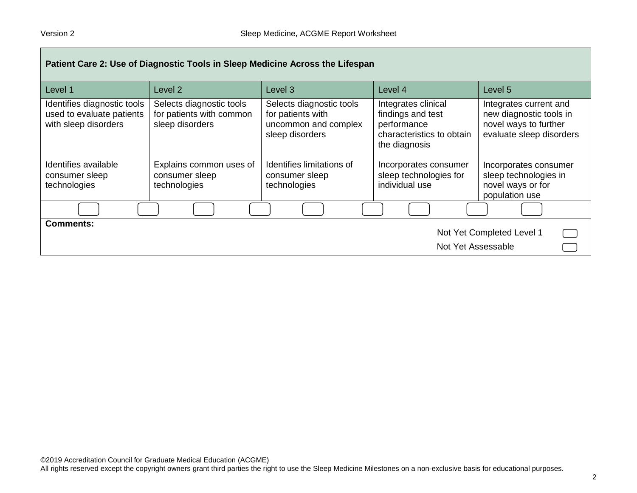| Patient Care 2: Use of Diagnostic Tools in Sleep Medicine Across the Lifespan    |                                                                         |                                                                                          |                                                                                                       |                                                                                                        |
|----------------------------------------------------------------------------------|-------------------------------------------------------------------------|------------------------------------------------------------------------------------------|-------------------------------------------------------------------------------------------------------|--------------------------------------------------------------------------------------------------------|
| Level 1                                                                          | Level 2                                                                 | Level <sub>3</sub>                                                                       | Level 4                                                                                               | Level 5                                                                                                |
| Identifies diagnostic tools<br>used to evaluate patients<br>with sleep disorders | Selects diagnostic tools<br>for patients with common<br>sleep disorders | Selects diagnostic tools<br>for patients with<br>uncommon and complex<br>sleep disorders | Integrates clinical<br>findings and test<br>performance<br>characteristics to obtain<br>the diagnosis | Integrates current and<br>new diagnostic tools in<br>novel ways to further<br>evaluate sleep disorders |
| Identifies available<br>consumer sleep<br>technologies                           | Explains common uses of<br>consumer sleep<br>technologies               | Identifies limitations of<br>consumer sleep<br>technologies                              | Incorporates consumer<br>sleep technologies for<br>individual use                                     | Incorporates consumer<br>sleep technologies in<br>novel ways or for<br>population use                  |
|                                                                                  |                                                                         |                                                                                          |                                                                                                       |                                                                                                        |
| <b>Comments:</b><br>Not Yet Completed Level 1<br>Not Yet Assessable              |                                                                         |                                                                                          |                                                                                                       |                                                                                                        |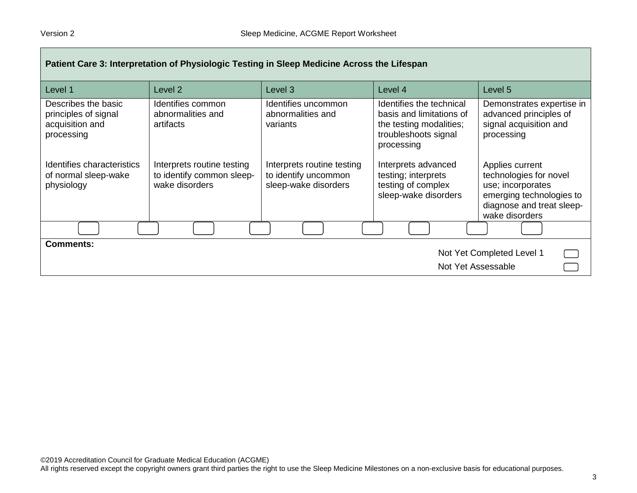| Patient Care 3: Interpretation of Physiologic Testing in Sleep Medicine Across the Lifespan |                                                                           |                                                                            |                                                                                                                       |                                                                                                                                           |
|---------------------------------------------------------------------------------------------|---------------------------------------------------------------------------|----------------------------------------------------------------------------|-----------------------------------------------------------------------------------------------------------------------|-------------------------------------------------------------------------------------------------------------------------------------------|
| Level 1                                                                                     | Level 2                                                                   | Level <sub>3</sub>                                                         | Level 4                                                                                                               | Level <sub>5</sub>                                                                                                                        |
| Describes the basic<br>principles of signal<br>acquisition and<br>processing                | Identifies common<br>abnormalities and<br>artifacts                       | Identifies uncommon<br>abnormalities and<br>variants                       | Identifies the technical<br>basis and limitations of<br>the testing modalities;<br>troubleshoots signal<br>processing | Demonstrates expertise in<br>advanced principles of<br>signal acquisition and<br>processing                                               |
| Identifies characteristics<br>of normal sleep-wake<br>physiology                            | Interprets routine testing<br>to identify common sleep-<br>wake disorders | Interprets routine testing<br>to identify uncommon<br>sleep-wake disorders | Interprets advanced<br>testing; interprets<br>testing of complex<br>sleep-wake disorders                              | Applies current<br>technologies for novel<br>use; incorporates<br>emerging technologies to<br>diagnose and treat sleep-<br>wake disorders |
|                                                                                             |                                                                           |                                                                            |                                                                                                                       |                                                                                                                                           |
| <b>Comments:</b><br>Not Yet Completed Level 1<br>Not Yet Assessable                         |                                                                           |                                                                            |                                                                                                                       |                                                                                                                                           |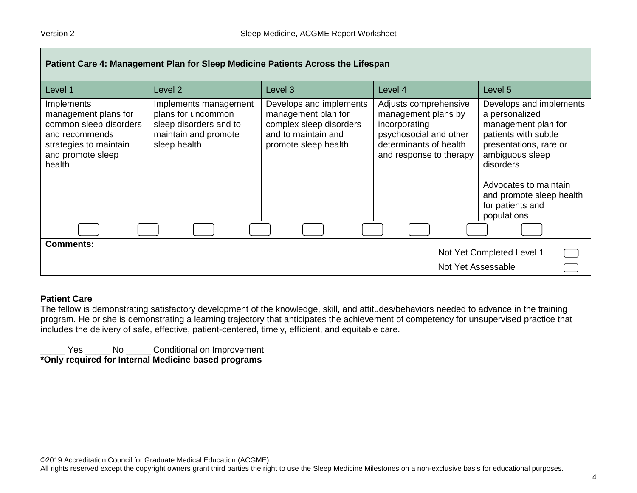| Patient Care 4: Management Plan for Sleep Medicine Patients Across the Lifespan                                                         |                                                                                                               |                                                                                                                          |                                                                                                                                              |                                                                                                                                                                                                                                            |  |
|-----------------------------------------------------------------------------------------------------------------------------------------|---------------------------------------------------------------------------------------------------------------|--------------------------------------------------------------------------------------------------------------------------|----------------------------------------------------------------------------------------------------------------------------------------------|--------------------------------------------------------------------------------------------------------------------------------------------------------------------------------------------------------------------------------------------|--|
| Level 1                                                                                                                                 | Level <sub>2</sub>                                                                                            | Level 3                                                                                                                  | Level 4                                                                                                                                      | Level 5                                                                                                                                                                                                                                    |  |
| Implements<br>management plans for<br>common sleep disorders<br>and recommends<br>strategies to maintain<br>and promote sleep<br>health | Implements management<br>plans for uncommon<br>sleep disorders and to<br>maintain and promote<br>sleep health | Develops and implements<br>management plan for<br>complex sleep disorders<br>and to maintain and<br>promote sleep health | Adjusts comprehensive<br>management plans by<br>incorporating<br>psychosocial and other<br>determinants of health<br>and response to therapy | Develops and implements<br>a personalized<br>management plan for<br>patients with subtle<br>presentations, rare or<br>ambiguous sleep<br>disorders<br>Advocates to maintain<br>and promote sleep health<br>for patients and<br>populations |  |
|                                                                                                                                         |                                                                                                               |                                                                                                                          |                                                                                                                                              |                                                                                                                                                                                                                                            |  |
| <b>Comments:</b>                                                                                                                        |                                                                                                               |                                                                                                                          |                                                                                                                                              | Not Yet Completed Level 1                                                                                                                                                                                                                  |  |
| Not Yet Assessable                                                                                                                      |                                                                                                               |                                                                                                                          |                                                                                                                                              |                                                                                                                                                                                                                                            |  |

#### **Patient Care**

The fellow is demonstrating satisfactory development of the knowledge, skill, and attitudes/behaviors needed to advance in the training program. He or she is demonstrating a learning trajectory that anticipates the achievement of competency for unsupervised practice that includes the delivery of safe, effective, patient-centered, timely, efficient, and equitable care.

\_\_\_\_\_ Yes \_\_\_\_\_ No \_\_\_\_\_ Conditional on Improvement

**\*Only required for Internal Medicine based programs**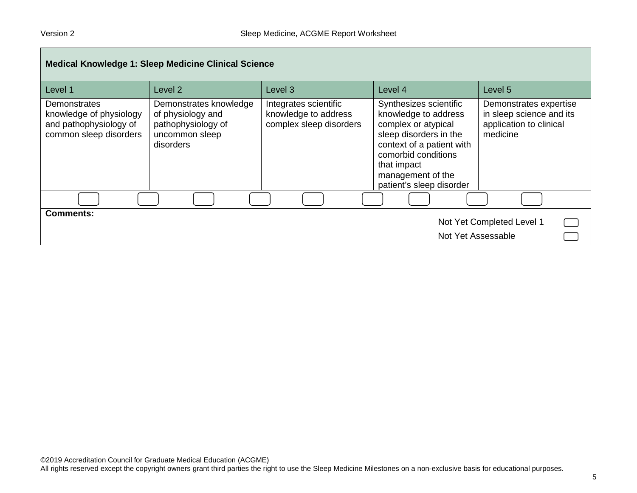| <b>Medical Knowledge 1: Sleep Medicine Clinical Science</b>                                 |                                                                                                  |                                                                          |                                                                                                                                                                                                                     |                                                                                           |  |
|---------------------------------------------------------------------------------------------|--------------------------------------------------------------------------------------------------|--------------------------------------------------------------------------|---------------------------------------------------------------------------------------------------------------------------------------------------------------------------------------------------------------------|-------------------------------------------------------------------------------------------|--|
| Level 1                                                                                     | Level 2                                                                                          | Level 3                                                                  | Level 4                                                                                                                                                                                                             | Level 5                                                                                   |  |
| Demonstrates<br>knowledge of physiology<br>and pathophysiology of<br>common sleep disorders | Demonstrates knowledge<br>of physiology and<br>pathophysiology of<br>uncommon sleep<br>disorders | Integrates scientific<br>knowledge to address<br>complex sleep disorders | Synthesizes scientific<br>knowledge to address<br>complex or atypical<br>sleep disorders in the<br>context of a patient with<br>comorbid conditions<br>that impact<br>management of the<br>patient's sleep disorder | Demonstrates expertise<br>in sleep science and its<br>application to clinical<br>medicine |  |
|                                                                                             |                                                                                                  |                                                                          |                                                                                                                                                                                                                     |                                                                                           |  |
| <b>Comments:</b><br>Not Yet Completed Level 1<br>Not Yet Assessable                         |                                                                                                  |                                                                          |                                                                                                                                                                                                                     |                                                                                           |  |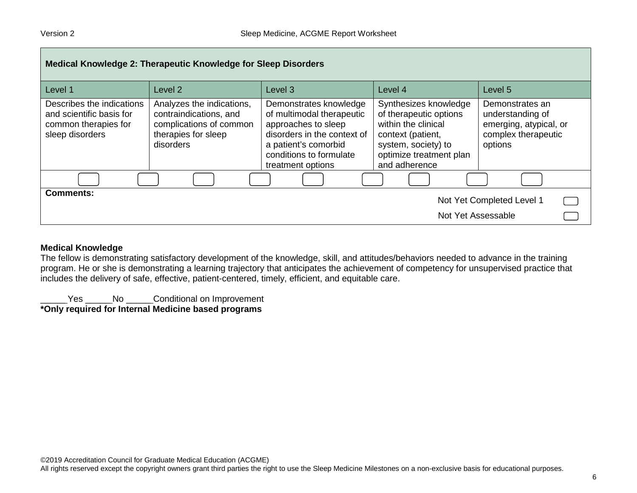| Medical Knowledge 2: Therapeutic Knowledge for Sleep Disorders                                   |                                                                                                                    |                                                                                                                                                                                   |                                                                                                                                                                |                                                                                                 |
|--------------------------------------------------------------------------------------------------|--------------------------------------------------------------------------------------------------------------------|-----------------------------------------------------------------------------------------------------------------------------------------------------------------------------------|----------------------------------------------------------------------------------------------------------------------------------------------------------------|-------------------------------------------------------------------------------------------------|
| Level 1                                                                                          | Level 2                                                                                                            | Level <sub>3</sub>                                                                                                                                                                | Level 4                                                                                                                                                        | Level 5                                                                                         |
| Describes the indications<br>and scientific basis for<br>common therapies for<br>sleep disorders | Analyzes the indications,<br>contraindications, and<br>complications of common<br>therapies for sleep<br>disorders | Demonstrates knowledge<br>of multimodal therapeutic<br>approaches to sleep<br>disorders in the context of<br>a patient's comorbid<br>conditions to formulate<br>treatment options | Synthesizes knowledge<br>of therapeutic options<br>within the clinical<br>context (patient,<br>system, society) to<br>optimize treatment plan<br>and adherence | Demonstrates an<br>understanding of<br>emerging, atypical, or<br>complex therapeutic<br>options |
|                                                                                                  |                                                                                                                    |                                                                                                                                                                                   |                                                                                                                                                                |                                                                                                 |
| <b>Comments:</b>                                                                                 |                                                                                                                    |                                                                                                                                                                                   | Not Yet Assessable                                                                                                                                             | Not Yet Completed Level 1<br><b>Contract</b>                                                    |

#### **Medical Knowledge**

The fellow is demonstrating satisfactory development of the knowledge, skill, and attitudes/behaviors needed to advance in the training program. He or she is demonstrating a learning trajectory that anticipates the achievement of competency for unsupervised practice that includes the delivery of safe, effective, patient-centered, timely, efficient, and equitable care.

Letter Mo \_\_\_\_\_\_ Conditional on Improvement

**\*Only required for Internal Medicine based programs**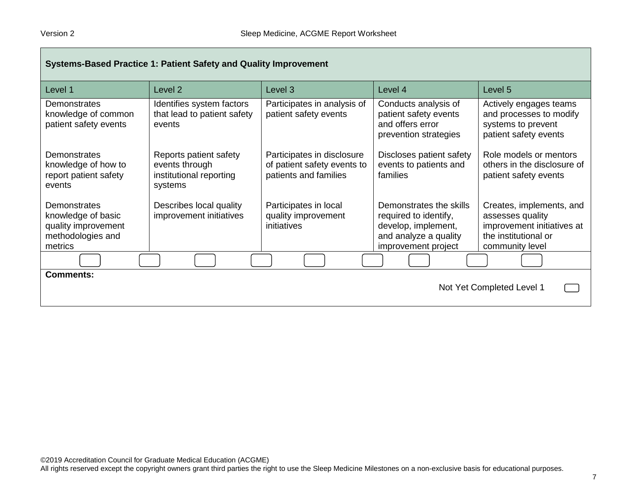| Systems-Based Practice 1: Patient Safety and Quality Improvement                                 |                                                                                |                                                                                    |                                                                                                                         |                                                                                                                       |
|--------------------------------------------------------------------------------------------------|--------------------------------------------------------------------------------|------------------------------------------------------------------------------------|-------------------------------------------------------------------------------------------------------------------------|-----------------------------------------------------------------------------------------------------------------------|
| Level 1                                                                                          | Level 2                                                                        | Level 3                                                                            | Level 4                                                                                                                 | Level 5                                                                                                               |
| Demonstrates<br>knowledge of common<br>patient safety events                                     | Identifies system factors<br>that lead to patient safety<br>events             | Participates in analysis of<br>patient safety events                               | Conducts analysis of<br>patient safety events<br>and offers error<br>prevention strategies                              | Actively engages teams<br>and processes to modify<br>systems to prevent<br>patient safety events                      |
| <b>Demonstrates</b><br>knowledge of how to<br>report patient safety<br>events                    | Reports patient safety<br>events through<br>institutional reporting<br>systems | Participates in disclosure<br>of patient safety events to<br>patients and families | Discloses patient safety<br>events to patients and<br>families                                                          | Role models or mentors<br>others in the disclosure of<br>patient safety events                                        |
| <b>Demonstrates</b><br>knowledge of basic<br>quality improvement<br>methodologies and<br>metrics | Describes local quality<br>improvement initiatives                             | Participates in local<br>quality improvement<br>initiatives                        | Demonstrates the skills<br>required to identify,<br>develop, implement,<br>and analyze a quality<br>improvement project | Creates, implements, and<br>assesses quality<br>improvement initiatives at<br>the institutional or<br>community level |
|                                                                                                  |                                                                                |                                                                                    |                                                                                                                         |                                                                                                                       |
| <b>Comments:</b><br>Not Yet Completed Level 1                                                    |                                                                                |                                                                                    |                                                                                                                         |                                                                                                                       |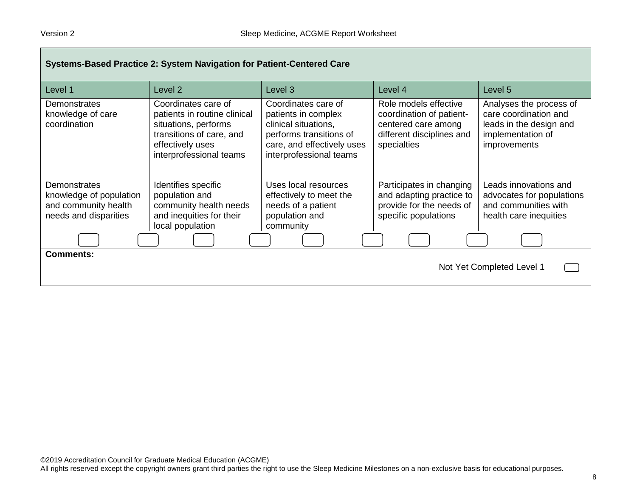| Systems-Based Practice 2: System Navigation for Patient-Centered Care                    |                                                                                                                                                        |                                                                                                                                                        |                                                                                                                      |                                                                                                                  |
|------------------------------------------------------------------------------------------|--------------------------------------------------------------------------------------------------------------------------------------------------------|--------------------------------------------------------------------------------------------------------------------------------------------------------|----------------------------------------------------------------------------------------------------------------------|------------------------------------------------------------------------------------------------------------------|
| Level 1                                                                                  | Level <sub>2</sub>                                                                                                                                     | Level 3                                                                                                                                                | Level 4                                                                                                              | Level 5                                                                                                          |
| Demonstrates<br>knowledge of care<br>coordination                                        | Coordinates care of<br>patients in routine clinical<br>situations, performs<br>transitions of care, and<br>effectively uses<br>interprofessional teams | Coordinates care of<br>patients in complex<br>clinical situations,<br>performs transitions of<br>care, and effectively uses<br>interprofessional teams | Role models effective<br>coordination of patient-<br>centered care among<br>different disciplines and<br>specialties | Analyses the process of<br>care coordination and<br>leads in the design and<br>implementation of<br>improvements |
| Demonstrates<br>knowledge of population<br>and community health<br>needs and disparities | Identifies specific<br>population and<br>community health needs<br>and inequities for their<br>local population                                        | Uses local resources<br>effectively to meet the<br>needs of a patient<br>population and<br>community                                                   | Participates in changing<br>and adapting practice to<br>provide for the needs of<br>specific populations             | Leads innovations and<br>advocates for populations<br>and communities with<br>health care inequities             |
|                                                                                          |                                                                                                                                                        |                                                                                                                                                        |                                                                                                                      |                                                                                                                  |
| <b>Comments:</b><br>Not Yet Completed Level 1                                            |                                                                                                                                                        |                                                                                                                                                        |                                                                                                                      |                                                                                                                  |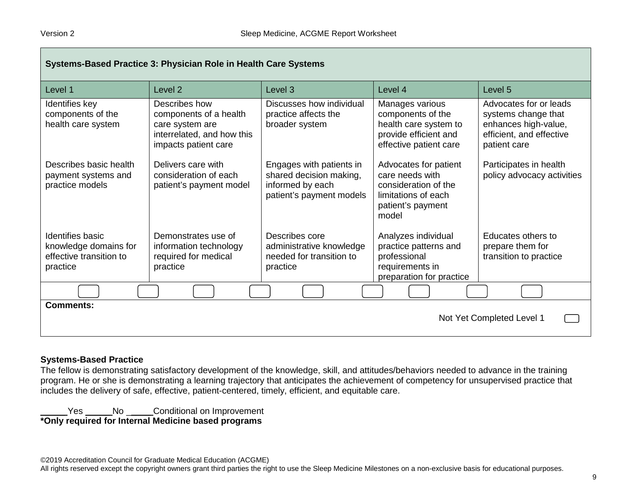| Systems-Based Practice 3: Physician Role in Health Care Systems                  |                                                                                                                  |                                                                                                     |                                                                                                                       |                                                                                                                   |
|----------------------------------------------------------------------------------|------------------------------------------------------------------------------------------------------------------|-----------------------------------------------------------------------------------------------------|-----------------------------------------------------------------------------------------------------------------------|-------------------------------------------------------------------------------------------------------------------|
| Level 1                                                                          | Level <sub>2</sub>                                                                                               | Level <sub>3</sub>                                                                                  | Level 4                                                                                                               | Level <sub>5</sub>                                                                                                |
| Identifies key<br>components of the<br>health care system                        | Describes how<br>components of a health<br>care system are<br>interrelated, and how this<br>impacts patient care | Discusses how individual<br>practice affects the<br>broader system                                  | Manages various<br>components of the<br>health care system to<br>provide efficient and<br>effective patient care      | Advocates for or leads<br>systems change that<br>enhances high-value,<br>efficient, and effective<br>patient care |
| Describes basic health<br>payment systems and<br>practice models                 | Delivers care with<br>consideration of each<br>patient's payment model                                           | Engages with patients in<br>shared decision making,<br>informed by each<br>patient's payment models | Advocates for patient<br>care needs with<br>consideration of the<br>limitations of each<br>patient's payment<br>model | Participates in health<br>policy advocacy activities                                                              |
| Identifies basic<br>knowledge domains for<br>effective transition to<br>practice | Demonstrates use of<br>information technology<br>required for medical<br>practice                                | Describes core<br>administrative knowledge<br>needed for transition to<br>practice                  | Analyzes individual<br>practice patterns and<br>professional<br>requirements in<br>preparation for practice           | Educates others to<br>prepare them for<br>transition to practice                                                  |
|                                                                                  |                                                                                                                  |                                                                                                     |                                                                                                                       |                                                                                                                   |
| <b>Comments:</b><br>Not Yet Completed Level 1                                    |                                                                                                                  |                                                                                                     |                                                                                                                       |                                                                                                                   |

#### **Systems-Based Practice**

The fellow is demonstrating satisfactory development of the knowledge, skill, and attitudes/behaviors needed to advance in the training program. He or she is demonstrating a learning trajectory that anticipates the achievement of competency for unsupervised practice that includes the delivery of safe, effective, patient-centered, timely, efficient, and equitable care.

Letter Moulding Conditional on Improvement **\*Only required for Internal Medicine based programs**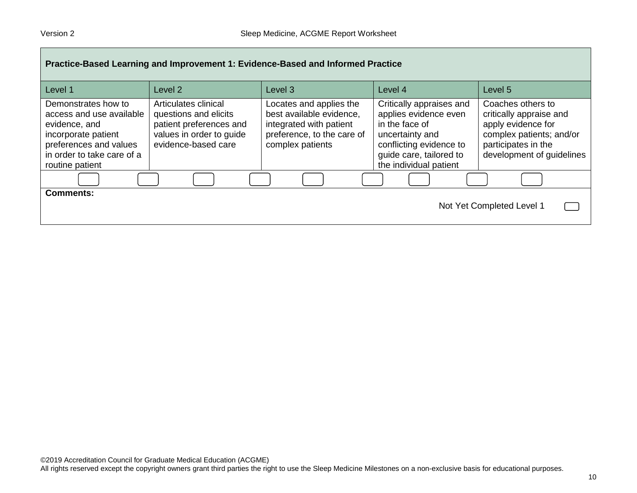| Practice-Based Learning and Improvement 1: Evidence-Based and Informed Practice                                                                                    |                                                                                                                             |                                                                                                                                  |                                                                                                                                                                        |                                                                                                                                                    |
|--------------------------------------------------------------------------------------------------------------------------------------------------------------------|-----------------------------------------------------------------------------------------------------------------------------|----------------------------------------------------------------------------------------------------------------------------------|------------------------------------------------------------------------------------------------------------------------------------------------------------------------|----------------------------------------------------------------------------------------------------------------------------------------------------|
| Level 1                                                                                                                                                            | Level 2                                                                                                                     | Level 3                                                                                                                          | Level 4                                                                                                                                                                | Level <sub>5</sub>                                                                                                                                 |
| Demonstrates how to<br>access and use available<br>evidence, and<br>incorporate patient<br>preferences and values<br>in order to take care of a<br>routine patient | Articulates clinical<br>questions and elicits<br>patient preferences and<br>values in order to guide<br>evidence-based care | Locates and applies the<br>best available evidence,<br>integrated with patient<br>preference, to the care of<br>complex patients | Critically appraises and<br>applies evidence even<br>in the face of<br>uncertainty and<br>conflicting evidence to<br>quide care, tailored to<br>the individual patient | Coaches others to<br>critically appraise and<br>apply evidence for<br>complex patients; and/or<br>participates in the<br>development of guidelines |
|                                                                                                                                                                    |                                                                                                                             |                                                                                                                                  |                                                                                                                                                                        |                                                                                                                                                    |
| <b>Comments:</b>                                                                                                                                                   |                                                                                                                             |                                                                                                                                  |                                                                                                                                                                        | Not Yet Completed Level 1                                                                                                                          |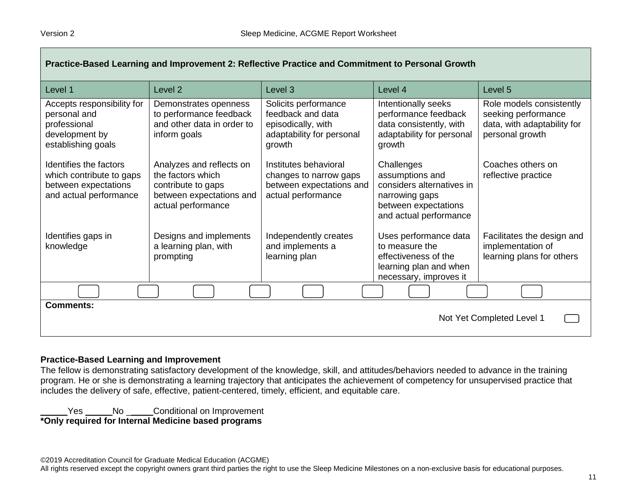| Practice-Based Learning and Improvement 2: Reflective Practice and Commitment to Personal Growth     |                                                                                                                       |                                                                                                        |                                                                                                                                |                                                                                                   |  |
|------------------------------------------------------------------------------------------------------|-----------------------------------------------------------------------------------------------------------------------|--------------------------------------------------------------------------------------------------------|--------------------------------------------------------------------------------------------------------------------------------|---------------------------------------------------------------------------------------------------|--|
| Level 1                                                                                              | Level <sub>2</sub>                                                                                                    | Level 3                                                                                                | Level 4                                                                                                                        | Level 5                                                                                           |  |
| Accepts responsibility for<br>personal and<br>professional<br>development by<br>establishing goals   | Demonstrates openness<br>to performance feedback<br>and other data in order to<br>inform goals                        | Solicits performance<br>feedback and data<br>episodically, with<br>adaptability for personal<br>growth | Intentionally seeks<br>performance feedback<br>data consistently, with<br>adaptability for personal<br>growth                  | Role models consistently<br>seeking performance<br>data, with adaptability for<br>personal growth |  |
| Identifies the factors<br>which contribute to gaps<br>between expectations<br>and actual performance | Analyzes and reflects on<br>the factors which<br>contribute to gaps<br>between expectations and<br>actual performance | Institutes behavioral<br>changes to narrow gaps<br>between expectations and<br>actual performance      | Challenges<br>assumptions and<br>considers alternatives in<br>narrowing gaps<br>between expectations<br>and actual performance | Coaches others on<br>reflective practice                                                          |  |
| Identifies gaps in<br>knowledge                                                                      | Designs and implements<br>a learning plan, with<br>prompting                                                          | Independently creates<br>and implements a<br>learning plan                                             | Uses performance data<br>to measure the<br>effectiveness of the<br>learning plan and when<br>necessary, improves it            | Facilitates the design and<br>implementation of<br>learning plans for others                      |  |
|                                                                                                      |                                                                                                                       |                                                                                                        |                                                                                                                                |                                                                                                   |  |
| <b>Comments:</b><br>Not Yet Completed Level 1                                                        |                                                                                                                       |                                                                                                        |                                                                                                                                |                                                                                                   |  |

#### **Practice-Based Learning and Improvement**

The fellow is demonstrating satisfactory development of the knowledge, skill, and attitudes/behaviors needed to advance in the training program. He or she is demonstrating a learning trajectory that anticipates the achievement of competency for unsupervised practice that includes the delivery of safe, effective, patient-centered, timely, efficient, and equitable care.

Letter Moulding Conditional on Improvement **\*Only required for Internal Medicine based programs**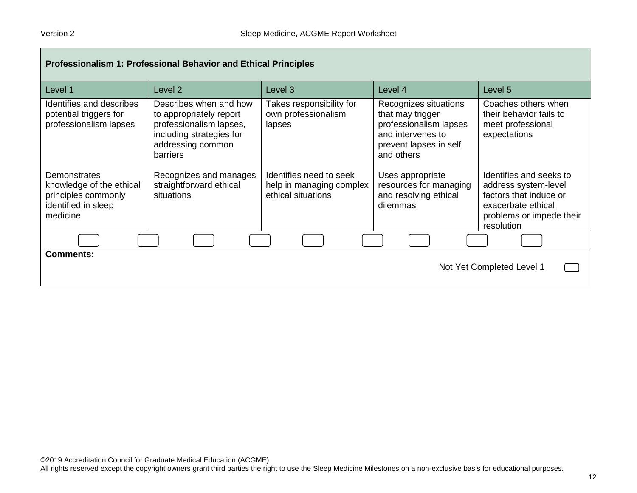| <b>Professionalism 1: Professional Behavior and Ethical Principles</b>                             |                                                                                                                                                  |                                                                           |                                                                                                                                  |                                                                                                                                           |  |
|----------------------------------------------------------------------------------------------------|--------------------------------------------------------------------------------------------------------------------------------------------------|---------------------------------------------------------------------------|----------------------------------------------------------------------------------------------------------------------------------|-------------------------------------------------------------------------------------------------------------------------------------------|--|
| Level 1                                                                                            | Level <sub>2</sub>                                                                                                                               | Level 3                                                                   | Level 4                                                                                                                          | Level 5                                                                                                                                   |  |
| Identifies and describes<br>potential triggers for<br>professionalism lapses                       | Describes when and how<br>to appropriately report<br>professionalism lapses,<br>including strategies for<br>addressing common<br><b>barriers</b> | Takes responsibility for<br>own professionalism<br>lapses                 | Recognizes situations<br>that may trigger<br>professionalism lapses<br>and intervenes to<br>prevent lapses in self<br>and others | Coaches others when<br>their behavior fails to<br>meet professional<br>expectations                                                       |  |
| Demonstrates<br>knowledge of the ethical<br>principles commonly<br>identified in sleep<br>medicine | Recognizes and manages<br>straightforward ethical<br>situations                                                                                  | Identifies need to seek<br>help in managing complex<br>ethical situations | Uses appropriate<br>resources for managing<br>and resolving ethical<br>dilemmas                                                  | Identifies and seeks to<br>address system-level<br>factors that induce or<br>exacerbate ethical<br>problems or impede their<br>resolution |  |
|                                                                                                    |                                                                                                                                                  |                                                                           |                                                                                                                                  |                                                                                                                                           |  |
| <b>Comments:</b><br>Not Yet Completed Level 1                                                      |                                                                                                                                                  |                                                                           |                                                                                                                                  |                                                                                                                                           |  |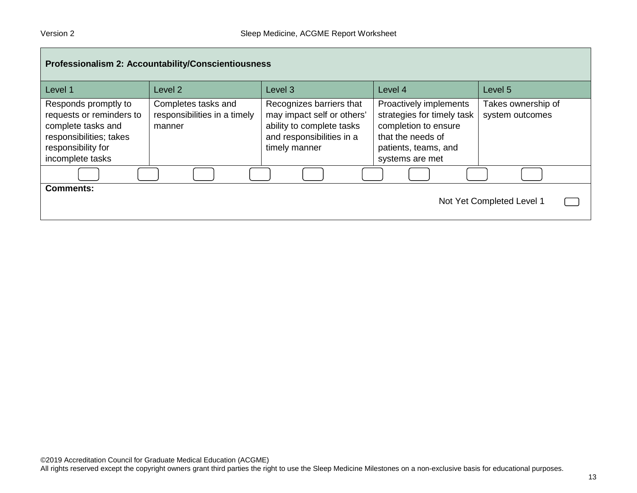| Professionalism 2: Accountability/Conscientiousness                                                                                         |                                                               |                                                                                                                                   |                                                                                                                                              |                                       |  |
|---------------------------------------------------------------------------------------------------------------------------------------------|---------------------------------------------------------------|-----------------------------------------------------------------------------------------------------------------------------------|----------------------------------------------------------------------------------------------------------------------------------------------|---------------------------------------|--|
| Level 1                                                                                                                                     | Level 2                                                       | Level 3                                                                                                                           | Level 4                                                                                                                                      | Level 5                               |  |
| Responds promptly to<br>requests or reminders to<br>complete tasks and<br>responsibilities; takes<br>responsibility for<br>incomplete tasks | Completes tasks and<br>responsibilities in a timely<br>manner | Recognizes barriers that<br>may impact self or others'<br>ability to complete tasks<br>and responsibilities in a<br>timely manner | Proactively implements<br>strategies for timely task<br>completion to ensure<br>that the needs of<br>patients, teams, and<br>systems are met | Takes ownership of<br>system outcomes |  |
|                                                                                                                                             |                                                               |                                                                                                                                   |                                                                                                                                              |                                       |  |
| <b>Comments:</b><br>Not Yet Completed Level 1                                                                                               |                                                               |                                                                                                                                   |                                                                                                                                              |                                       |  |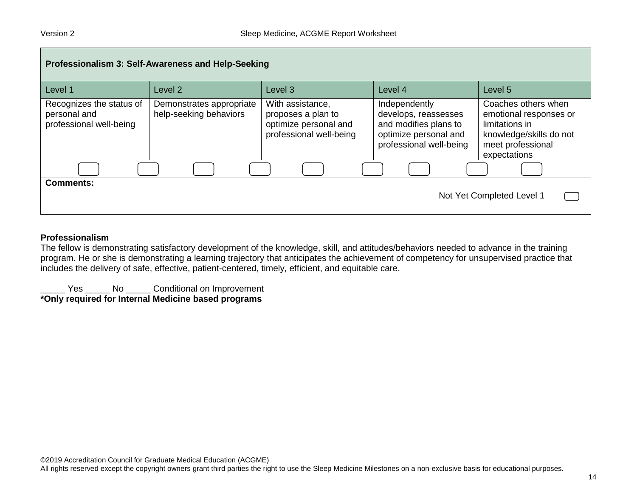| Professionalism 3: Self-Awareness and Help-Seeking                  |                                                    |                                                                                            |                                                                                                                    |                                                                                                                                 |  |  |
|---------------------------------------------------------------------|----------------------------------------------------|--------------------------------------------------------------------------------------------|--------------------------------------------------------------------------------------------------------------------|---------------------------------------------------------------------------------------------------------------------------------|--|--|
| Level 1                                                             | Level 2                                            | Level <sub>3</sub>                                                                         | Level 4                                                                                                            | Level 5                                                                                                                         |  |  |
| Recognizes the status of<br>personal and<br>professional well-being | Demonstrates appropriate<br>help-seeking behaviors | With assistance,<br>proposes a plan to<br>optimize personal and<br>professional well-being | Independently<br>develops, reassesses<br>and modifies plans to<br>optimize personal and<br>professional well-being | Coaches others when<br>emotional responses or<br>limitations in<br>knowledge/skills do not<br>meet professional<br>expectations |  |  |
|                                                                     |                                                    |                                                                                            |                                                                                                                    |                                                                                                                                 |  |  |
| <b>Comments:</b><br>Not Yet Completed Level 1                       |                                                    |                                                                                            |                                                                                                                    |                                                                                                                                 |  |  |

#### **Professionalism**

The fellow is demonstrating satisfactory development of the knowledge, skill, and attitudes/behaviors needed to advance in the training program. He or she is demonstrating a learning trajectory that anticipates the achievement of competency for unsupervised practice that includes the delivery of safe, effective, patient-centered, timely, efficient, and equitable care.

\_\_\_\_\_ Yes \_\_\_\_\_ No \_\_\_\_\_ Conditional on Improvement **\*Only required for Internal Medicine based programs**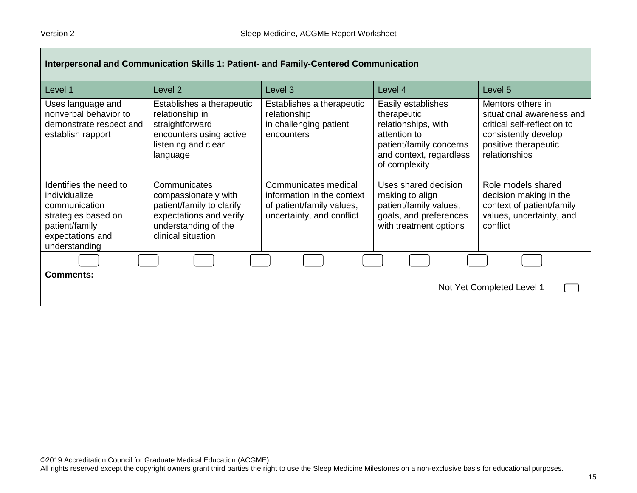| Interpersonal and Communication Skills 1: Patient- and Family-Centered Communication                                                   |                                                                                                                                            |                                                                                                              |                                                                                                                                                 |                                                                                                                                                |  |
|----------------------------------------------------------------------------------------------------------------------------------------|--------------------------------------------------------------------------------------------------------------------------------------------|--------------------------------------------------------------------------------------------------------------|-------------------------------------------------------------------------------------------------------------------------------------------------|------------------------------------------------------------------------------------------------------------------------------------------------|--|
| Level 1                                                                                                                                | Level 2                                                                                                                                    | Level <sub>3</sub>                                                                                           | Level 4                                                                                                                                         | Level 5                                                                                                                                        |  |
| Uses language and<br>nonverbal behavior to<br>demonstrate respect and<br>establish rapport                                             | Establishes a therapeutic<br>relationship in<br>straightforward<br>encounters using active<br>listening and clear<br>language              | Establishes a therapeutic<br>relationship<br>in challenging patient<br>encounters                            | Easily establishes<br>therapeutic<br>relationships, with<br>attention to<br>patient/family concerns<br>and context, regardless<br>of complexity | Mentors others in<br>situational awareness and<br>critical self-reflection to<br>consistently develop<br>positive therapeutic<br>relationships |  |
| Identifies the need to<br>individualize<br>communication<br>strategies based on<br>patient/family<br>expectations and<br>understanding | Communicates<br>compassionately with<br>patient/family to clarify<br>expectations and verify<br>understanding of the<br>clinical situation | Communicates medical<br>information in the context<br>of patient/family values,<br>uncertainty, and conflict | Uses shared decision<br>making to align<br>patient/family values,<br>goals, and preferences<br>with treatment options                           | Role models shared<br>decision making in the<br>context of patient/family<br>values, uncertainty, and<br>conflict                              |  |
|                                                                                                                                        |                                                                                                                                            |                                                                                                              |                                                                                                                                                 |                                                                                                                                                |  |
| <b>Comments:</b><br>Not Yet Completed Level 1                                                                                          |                                                                                                                                            |                                                                                                              |                                                                                                                                                 |                                                                                                                                                |  |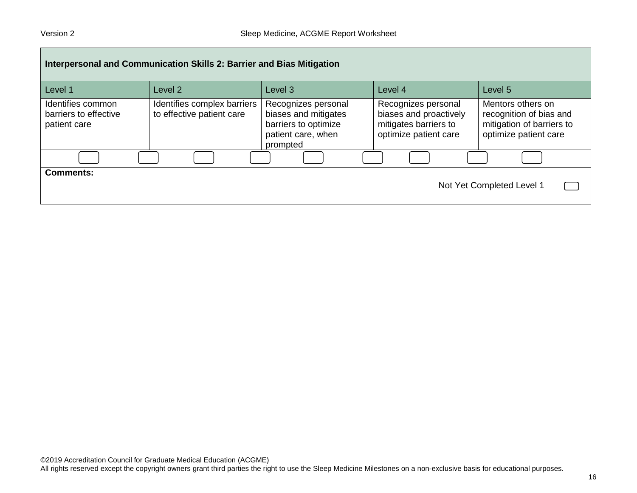| Interpersonal and Communication Skills 2: Barrier and Bias Mitigation |                                                          |                                                                                                       |                                                                                                 |                                                                                                    |  |
|-----------------------------------------------------------------------|----------------------------------------------------------|-------------------------------------------------------------------------------------------------------|-------------------------------------------------------------------------------------------------|----------------------------------------------------------------------------------------------------|--|
| Level 1                                                               | Level <sub>2</sub>                                       | Level <sub>3</sub>                                                                                    | Level 4                                                                                         | Level 5                                                                                            |  |
| Identifies common<br>barriers to effective<br>patient care            | Identifies complex barriers<br>to effective patient care | Recognizes personal<br>biases and mitigates<br>barriers to optimize<br>patient care, when<br>prompted | Recognizes personal<br>biases and proactively<br>mitigates barriers to<br>optimize patient care | Mentors others on<br>recognition of bias and<br>mitigation of barriers to<br>optimize patient care |  |
|                                                                       |                                                          |                                                                                                       |                                                                                                 |                                                                                                    |  |
| <b>Comments:</b>                                                      |                                                          |                                                                                                       |                                                                                                 | Not Yet Completed Level 1                                                                          |  |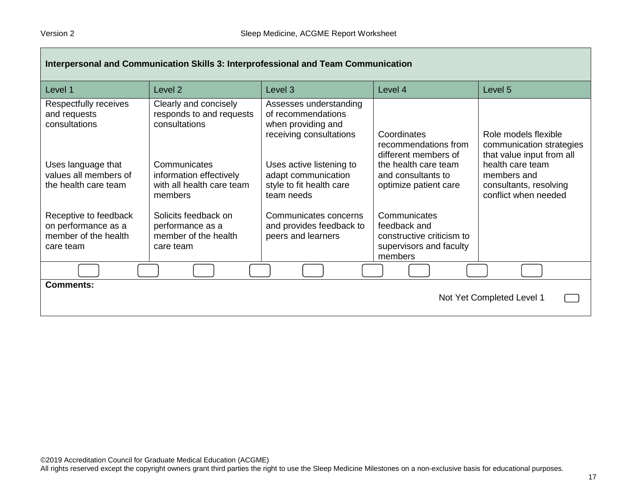| Interpersonal and Communication Skills 3: Interprofessional and Team Communication |                                                                                 |                                                                                               |                                                                                                 |                                                                                   |  |  |
|------------------------------------------------------------------------------------|---------------------------------------------------------------------------------|-----------------------------------------------------------------------------------------------|-------------------------------------------------------------------------------------------------|-----------------------------------------------------------------------------------|--|--|
| Level 1                                                                            | Level <sub>2</sub>                                                              | Level 3                                                                                       | Level 4                                                                                         | Level 5                                                                           |  |  |
| Respectfully receives<br>and requests<br>consultations                             | Clearly and concisely<br>responds to and requests<br>consultations              | Assesses understanding<br>of recommendations<br>when providing and<br>receiving consultations | Coordinates<br>recommendations from<br>different members of                                     | Role models flexible<br>communication strategies<br>that value input from all     |  |  |
| Uses language that<br>values all members of<br>the health care team                | Communicates<br>information effectively<br>with all health care team<br>members | Uses active listening to<br>adapt communication<br>style to fit health care<br>team needs     | the health care team<br>and consultants to<br>optimize patient care                             | health care team<br>members and<br>consultants, resolving<br>conflict when needed |  |  |
| Receptive to feedback<br>on performance as a<br>member of the health<br>care team  | Solicits feedback on<br>performance as a<br>member of the health<br>care team   | Communicates concerns<br>and provides feedback to<br>peers and learners                       | Communicates<br>feedback and<br>constructive criticism to<br>supervisors and faculty<br>members |                                                                                   |  |  |
|                                                                                    |                                                                                 |                                                                                               |                                                                                                 |                                                                                   |  |  |
| <b>Comments:</b><br>Not Yet Completed Level 1                                      |                                                                                 |                                                                                               |                                                                                                 |                                                                                   |  |  |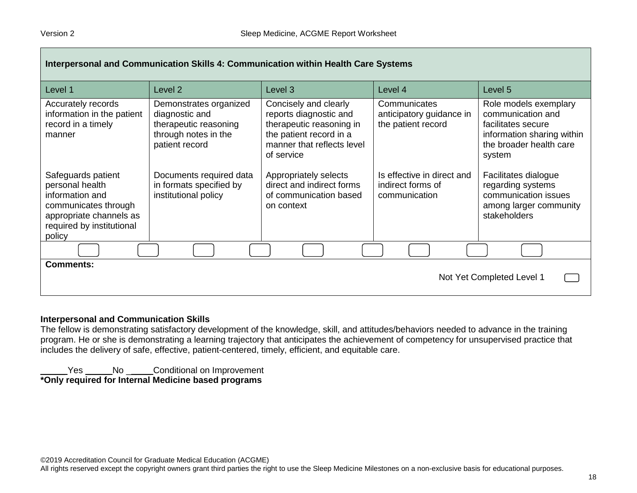| Interpersonal and Communication Skills 4: Communication within Health Care Systems                                                                 |                                                                                                             |                                                                                                                                                    |                                                                  |                                                                                                                                     |  |
|----------------------------------------------------------------------------------------------------------------------------------------------------|-------------------------------------------------------------------------------------------------------------|----------------------------------------------------------------------------------------------------------------------------------------------------|------------------------------------------------------------------|-------------------------------------------------------------------------------------------------------------------------------------|--|
| Level 1                                                                                                                                            | Level 2                                                                                                     | Level 3                                                                                                                                            | Level 4                                                          | Level 5                                                                                                                             |  |
| Accurately records<br>information in the patient<br>record in a timely<br>manner                                                                   | Demonstrates organized<br>diagnostic and<br>therapeutic reasoning<br>through notes in the<br>patient record | Concisely and clearly<br>reports diagnostic and<br>therapeutic reasoning in<br>the patient record in a<br>manner that reflects level<br>of service | Communicates<br>anticipatory guidance in<br>the patient record   | Role models exemplary<br>communication and<br>facilitates secure<br>information sharing within<br>the broader health care<br>system |  |
| Safeguards patient<br>personal health<br>information and<br>communicates through<br>appropriate channels as<br>required by institutional<br>policy | Documents required data<br>in formats specified by<br>institutional policy                                  | Appropriately selects<br>direct and indirect forms<br>of communication based<br>on context                                                         | Is effective in direct and<br>indirect forms of<br>communication | Facilitates dialogue<br>regarding systems<br>communication issues<br>among larger community<br>stakeholders                         |  |
|                                                                                                                                                    |                                                                                                             |                                                                                                                                                    |                                                                  |                                                                                                                                     |  |
| <b>Comments:</b><br>Not Yet Completed Level 1                                                                                                      |                                                                                                             |                                                                                                                                                    |                                                                  |                                                                                                                                     |  |

#### **Interpersonal and Communication Skills**

The fellow is demonstrating satisfactory development of the knowledge, skill, and attitudes/behaviors needed to advance in the training program. He or she is demonstrating a learning trajectory that anticipates the achievement of competency for unsupervised practice that includes the delivery of safe, effective, patient-centered, timely, efficient, and equitable care.

\_\_\_\_\_ Yes \_\_\_\_\_ No \_\_\_\_\_ Conditional on Improvement **\*Only required for Internal Medicine based programs**